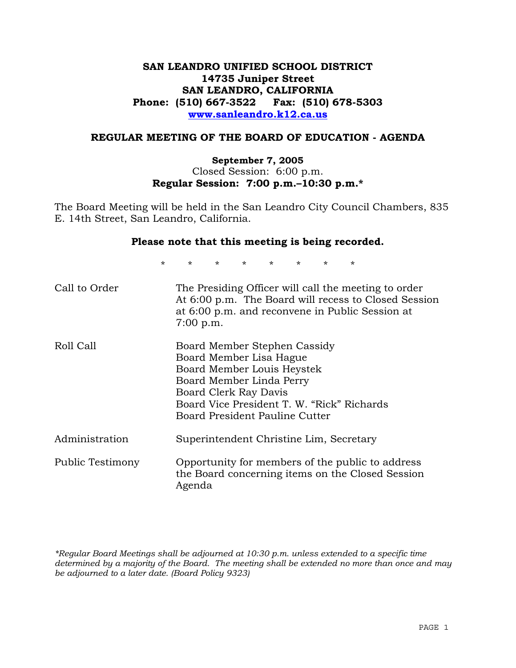# **SAN LEANDRO UNIFIED SCHOOL DISTRICT 14735 Juniper Street SAN LEANDRO, CALIFORNIA Phone: (510) 667-3522 Fax: (510) 678-5303 www.sanleandro.k12.ca.us**

# **REGULAR MEETING OF THE BOARD OF EDUCATION - AGENDA**

### **September 7, 2005**  Closed Session: 6:00 p.m. **Regular Session: 7:00 p.m.–10:30 p.m.\***

The Board Meeting will be held in the San Leandro City Council Chambers, 835 E. 14th Street, San Leandro, California.

### **Please note that this meeting is being recorded.**

\* \* \* \* \* \* \* \* Call to Order The Presiding Officer will call the meeting to order At 6:00 p.m. The Board will recess to Closed Session at 6:00 p.m. and reconvene in Public Session at 7:00 p.m. Roll Call Board Member Stephen Cassidy Board Member Lisa Hague Board Member Louis Heystek Board Member Linda Perry Board Clerk Ray Davis Board Vice President T. W. "Rick" Richards Board President Pauline Cutter Administration Superintendent Christine Lim, Secretary Public Testimony Opportunity for members of the public to address the Board concerning items on the Closed Session Agenda

*\*Regular Board Meetings shall be adjourned at 10:30 p.m. unless extended to a specific time determined by a majority of the Board. The meeting shall be extended no more than once and may be adjourned to a later date. (Board Policy 9323)*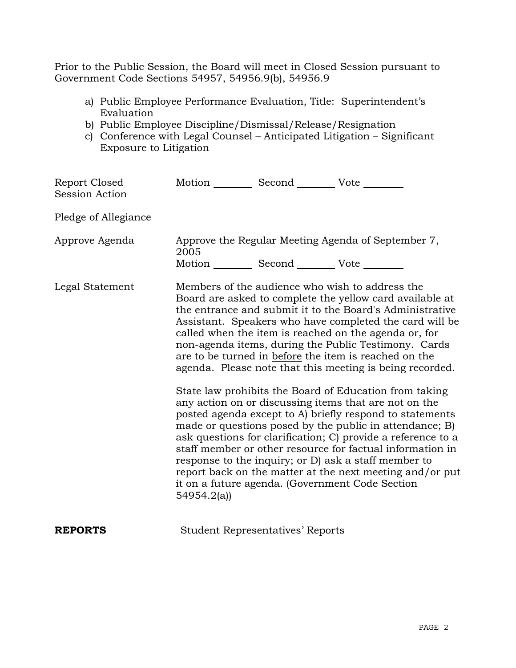Prior to the Public Session, the Board will meet in Closed Session pursuant to Government Code Sections 54957, 54956.9(b), 54956.9

- a) Public Employee Performance Evaluation, Title: Superintendent's Evaluation
- b) Public Employee Discipline/Dismissal/Release/Resignation
- c) Conference with Legal Counsel Anticipated Litigation Significant Exposure to Litigation

| Report Closed<br><b>Session Action</b> | Motion __________ Second __________ Vote ________                                                               |                                         |                                                                                                                                                                                                                                                                                                                                                                                                                                                                                                                                                                                                                                                                                                                                                                                                                                                                                                                                                                                                                        |  |
|----------------------------------------|-----------------------------------------------------------------------------------------------------------------|-----------------------------------------|------------------------------------------------------------------------------------------------------------------------------------------------------------------------------------------------------------------------------------------------------------------------------------------------------------------------------------------------------------------------------------------------------------------------------------------------------------------------------------------------------------------------------------------------------------------------------------------------------------------------------------------------------------------------------------------------------------------------------------------------------------------------------------------------------------------------------------------------------------------------------------------------------------------------------------------------------------------------------------------------------------------------|--|
| Pledge of Allegiance                   |                                                                                                                 |                                         |                                                                                                                                                                                                                                                                                                                                                                                                                                                                                                                                                                                                                                                                                                                                                                                                                                                                                                                                                                                                                        |  |
| Approve Agenda                         | Approve the Regular Meeting Agenda of September 7,<br>2005<br>Motion __________ Second __________ Vote ________ |                                         |                                                                                                                                                                                                                                                                                                                                                                                                                                                                                                                                                                                                                                                                                                                                                                                                                                                                                                                                                                                                                        |  |
| Legal Statement                        | 54954.2(a)                                                                                                      |                                         | Members of the audience who wish to address the<br>Board are asked to complete the yellow card available at<br>the entrance and submit it to the Board's Administrative<br>Assistant. Speakers who have completed the card will be<br>called when the item is reached on the agenda or, for<br>non-agenda items, during the Public Testimony. Cards<br>are to be turned in before the item is reached on the<br>agenda. Please note that this meeting is being recorded.<br>State law prohibits the Board of Education from taking<br>any action on or discussing items that are not on the<br>posted agenda except to A) briefly respond to statements<br>made or questions posed by the public in attendance; B)<br>ask questions for clarification; C) provide a reference to a<br>staff member or other resource for factual information in<br>response to the inquiry; or D) ask a staff member to<br>report back on the matter at the next meeting and/or put<br>it on a future agenda. (Government Code Section |  |
| <b>REPORTS</b>                         |                                                                                                                 | <b>Student Representatives' Reports</b> |                                                                                                                                                                                                                                                                                                                                                                                                                                                                                                                                                                                                                                                                                                                                                                                                                                                                                                                                                                                                                        |  |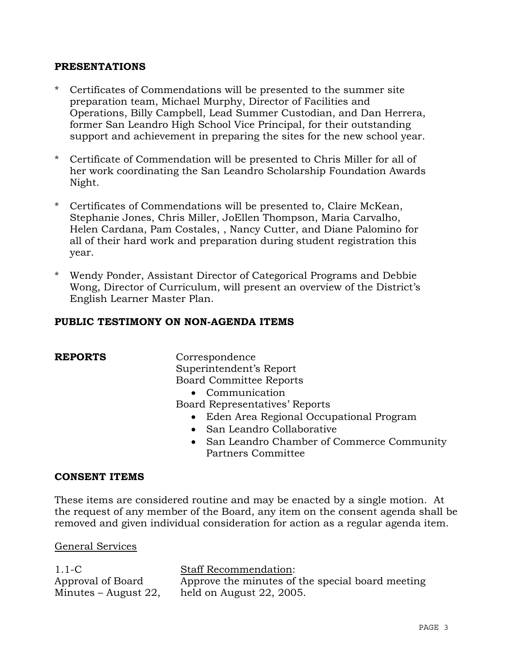## **PRESENTATIONS**

- \* Certificates of Commendations will be presented to the summer site preparation team, Michael Murphy, Director of Facilities and Operations, Billy Campbell, Lead Summer Custodian, and Dan Herrera, former San Leandro High School Vice Principal, for their outstanding support and achievement in preparing the sites for the new school year.
- \* Certificate of Commendation will be presented to Chris Miller for all of her work coordinating the San Leandro Scholarship Foundation Awards Night.
- \* Certificates of Commendations will be presented to, Claire McKean, Stephanie Jones, Chris Miller, JoEllen Thompson, Maria Carvalho, Helen Cardana, Pam Costales, , Nancy Cutter, and Diane Palomino for all of their hard work and preparation during student registration this year.
- \* Wendy Ponder, Assistant Director of Categorical Programs and Debbie Wong, Director of Curriculum, will present an overview of the District's English Learner Master Plan.

## **PUBLIC TESTIMONY ON NON-AGENDA ITEMS**

**REPORTS** Correspondence Superintendent's Report Board Committee Reports

• Communication

Board Representatives' Reports

- Eden Area Regional Occupational Program
- San Leandro Collaborative
- San Leandro Chamber of Commerce Community Partners Committee

## **CONSENT ITEMS**

These items are considered routine and may be enacted by a single motion. At the request of any member of the Board, any item on the consent agenda shall be removed and given individual consideration for action as a regular agenda item.

## General Services

1.1-C Approval of Board Minutes – August 22, Staff Recommendation: Approve the minutes of the special board meeting held on August 22, 2005.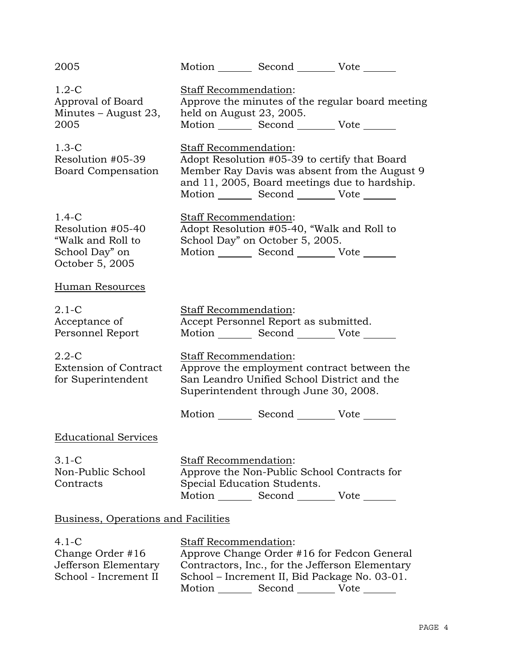| 2005                                                                                   |                                                                                                                                                                                                                             | Motion Second Vote                                                                                                                  |                                                                                                |  |
|----------------------------------------------------------------------------------------|-----------------------------------------------------------------------------------------------------------------------------------------------------------------------------------------------------------------------------|-------------------------------------------------------------------------------------------------------------------------------------|------------------------------------------------------------------------------------------------|--|
| $1.2-C$<br>Approval of Board<br>Minutes – August 23,<br>2005                           | Staff Recommendation:<br>held on August 23, 2005.                                                                                                                                                                           | Motion _________ Second __________ Vote _______                                                                                     | Approve the minutes of the regular board meeting                                               |  |
| $1.3-C$<br>Resolution #05-39<br>Board Compensation                                     | Staff Recommendation:                                                                                                                                                                                                       | Adopt Resolution #05-39 to certify that Board<br>Motion _________ Second _________ Vote _______                                     | Member Ray Davis was absent from the August 9<br>and 11, 2005, Board meetings due to hardship. |  |
| $1.4-C$<br>Resolution #05-40<br>"Walk and Roll to<br>School Day" on<br>October 5, 2005 | <b>Staff Recommendation:</b>                                                                                                                                                                                                | Adopt Resolution #05-40, "Walk and Roll to<br>School Day" on October 5, 2005.<br>Motion _________ Second ___________ Vote _______   |                                                                                                |  |
| Human Resources                                                                        |                                                                                                                                                                                                                             |                                                                                                                                     |                                                                                                |  |
| $2.1-C$<br>Acceptance of<br>Personnel Report                                           | Staff Recommendation:                                                                                                                                                                                                       | Accept Personnel Report as submitted.<br>Motion _________ Second __________ Vote _______                                            |                                                                                                |  |
| $2.2 - C$<br><b>Extension of Contract</b><br>for Superintendent                        | Staff Recommendation:                                                                                                                                                                                                       | Approve the employment contract between the<br>San Leandro Unified School District and the<br>Superintendent through June 30, 2008. |                                                                                                |  |
|                                                                                        |                                                                                                                                                                                                                             | Motion _________ Second __________ Vote _______                                                                                     |                                                                                                |  |
| <b>Educational Services</b>                                                            |                                                                                                                                                                                                                             |                                                                                                                                     |                                                                                                |  |
| $3.1-C$<br>Non-Public School<br>Contracts                                              | Staff Recommendation:<br>Special Education Students.                                                                                                                                                                        | Approve the Non-Public School Contracts for<br>Motion _________ Second __________ Vote _______                                      |                                                                                                |  |
| Business, Operations and Facilities                                                    |                                                                                                                                                                                                                             |                                                                                                                                     |                                                                                                |  |
| $4.1 - C$<br>Change Order #16<br>Jefferson Elementary<br>School - Increment II         | Staff Recommendation:<br>Approve Change Order #16 for Fedcon General<br>Contractors, Inc., for the Jefferson Elementary<br>School - Increment II, Bid Package No. 03-01.<br>Motion _________ Second __________ Vote _______ |                                                                                                                                     |                                                                                                |  |